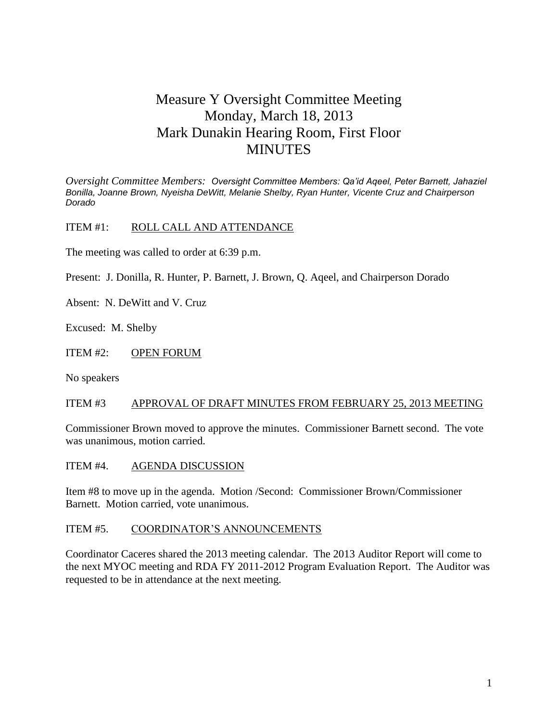# Measure Y Oversight Committee Meeting Monday, March 18, 2013 Mark Dunakin Hearing Room, First Floor MINUTES

*Oversight Committee Members: Oversight Committee Members: Qa'id Aqeel, Peter Barnett, Jahaziel Bonilla, Joanne Brown, Nyeisha DeWitt, Melanie Shelby, Ryan Hunter, Vicente Cruz and Chairperson Dorado*

ITEM #1: ROLL CALL AND ATTENDANCE

The meeting was called to order at 6:39 p.m.

Present: J. Donilla, R. Hunter, P. Barnett, J. Brown, Q. Aqeel, and Chairperson Dorado

Absent: N. DeWitt and V. Cruz

Excused: M. Shelby

ITEM #2: OPEN FORUM

No speakers

#### ITEM #3 APPROVAL OF DRAFT MINUTES FROM FEBRUARY 25, 2013 MEETING

Commissioner Brown moved to approve the minutes. Commissioner Barnett second. The vote was unanimous, motion carried.

ITEM #4. AGENDA DISCUSSION

Item #8 to move up in the agenda. Motion /Second: Commissioner Brown/Commissioner Barnett. Motion carried, vote unanimous.

#### ITEM #5. COORDINATOR'S ANNOUNCEMENTS

Coordinator Caceres shared the 2013 meeting calendar. The 2013 Auditor Report will come to the next MYOC meeting and RDA FY 2011-2012 Program Evaluation Report. The Auditor was requested to be in attendance at the next meeting.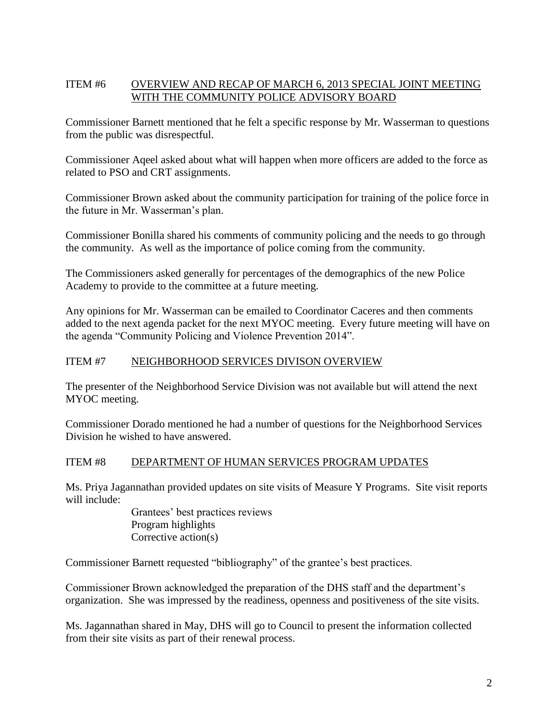## ITEM #6 OVERVIEW AND RECAP OF MARCH 6, 2013 SPECIAL JOINT MEETING WITH THE COMMUNITY POLICE ADVISORY BOARD

Commissioner Barnett mentioned that he felt a specific response by Mr. Wasserman to questions from the public was disrespectful.

Commissioner Aqeel asked about what will happen when more officers are added to the force as related to PSO and CRT assignments.

Commissioner Brown asked about the community participation for training of the police force in the future in Mr. Wasserman's plan.

Commissioner Bonilla shared his comments of community policing and the needs to go through the community. As well as the importance of police coming from the community.

The Commissioners asked generally for percentages of the demographics of the new Police Academy to provide to the committee at a future meeting.

Any opinions for Mr. Wasserman can be emailed to Coordinator Caceres and then comments added to the next agenda packet for the next MYOC meeting. Every future meeting will have on the agenda "Community Policing and Violence Prevention 2014".

## ITEM #7 NEIGHBORHOOD SERVICES DIVISON OVERVIEW

The presenter of the Neighborhood Service Division was not available but will attend the next MYOC meeting.

Commissioner Dorado mentioned he had a number of questions for the Neighborhood Services Division he wished to have answered.

### ITEM #8 DEPARTMENT OF HUMAN SERVICES PROGRAM UPDATES

Ms. Priya Jagannathan provided updates on site visits of Measure Y Programs. Site visit reports will include:

> Grantees' best practices reviews Program highlights Corrective action(s)

Commissioner Barnett requested "bibliography" of the grantee's best practices.

Commissioner Brown acknowledged the preparation of the DHS staff and the department's organization. She was impressed by the readiness, openness and positiveness of the site visits.

Ms. Jagannathan shared in May, DHS will go to Council to present the information collected from their site visits as part of their renewal process.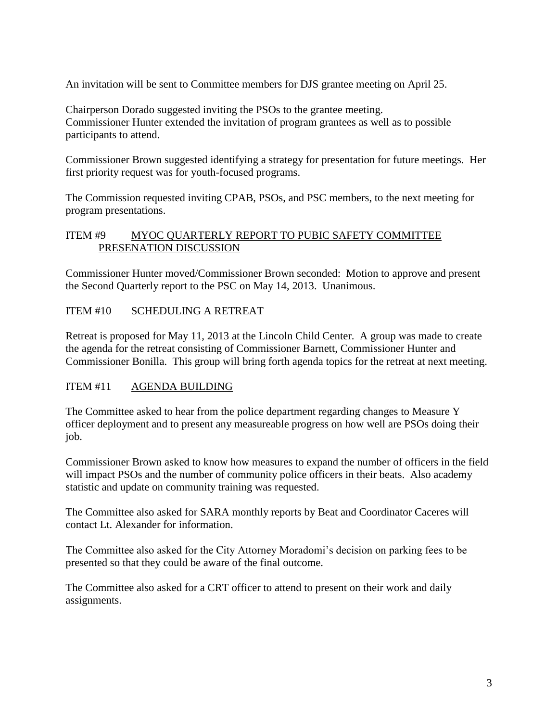An invitation will be sent to Committee members for DJS grantee meeting on April 25.

Chairperson Dorado suggested inviting the PSOs to the grantee meeting. Commissioner Hunter extended the invitation of program grantees as well as to possible participants to attend.

Commissioner Brown suggested identifying a strategy for presentation for future meetings. Her first priority request was for youth-focused programs.

The Commission requested inviting CPAB, PSOs, and PSC members, to the next meeting for program presentations.

#### ITEM #9 MYOC QUARTERLY REPORT TO PUBIC SAFETY COMMITTEE PRESENATION DISCUSSION

Commissioner Hunter moved/Commissioner Brown seconded: Motion to approve and present the Second Quarterly report to the PSC on May 14, 2013. Unanimous.

### ITEM #10 SCHEDULING A RETREAT

Retreat is proposed for May 11, 2013 at the Lincoln Child Center. A group was made to create the agenda for the retreat consisting of Commissioner Barnett, Commissioner Hunter and Commissioner Bonilla. This group will bring forth agenda topics for the retreat at next meeting.

#### ITEM #11 AGENDA BUILDING

The Committee asked to hear from the police department regarding changes to Measure Y officer deployment and to present any measureable progress on how well are PSOs doing their job.

Commissioner Brown asked to know how measures to expand the number of officers in the field will impact PSOs and the number of community police officers in their beats. Also academy statistic and update on community training was requested.

The Committee also asked for SARA monthly reports by Beat and Coordinator Caceres will contact Lt. Alexander for information.

The Committee also asked for the City Attorney Moradomi's decision on parking fees to be presented so that they could be aware of the final outcome.

The Committee also asked for a CRT officer to attend to present on their work and daily assignments.